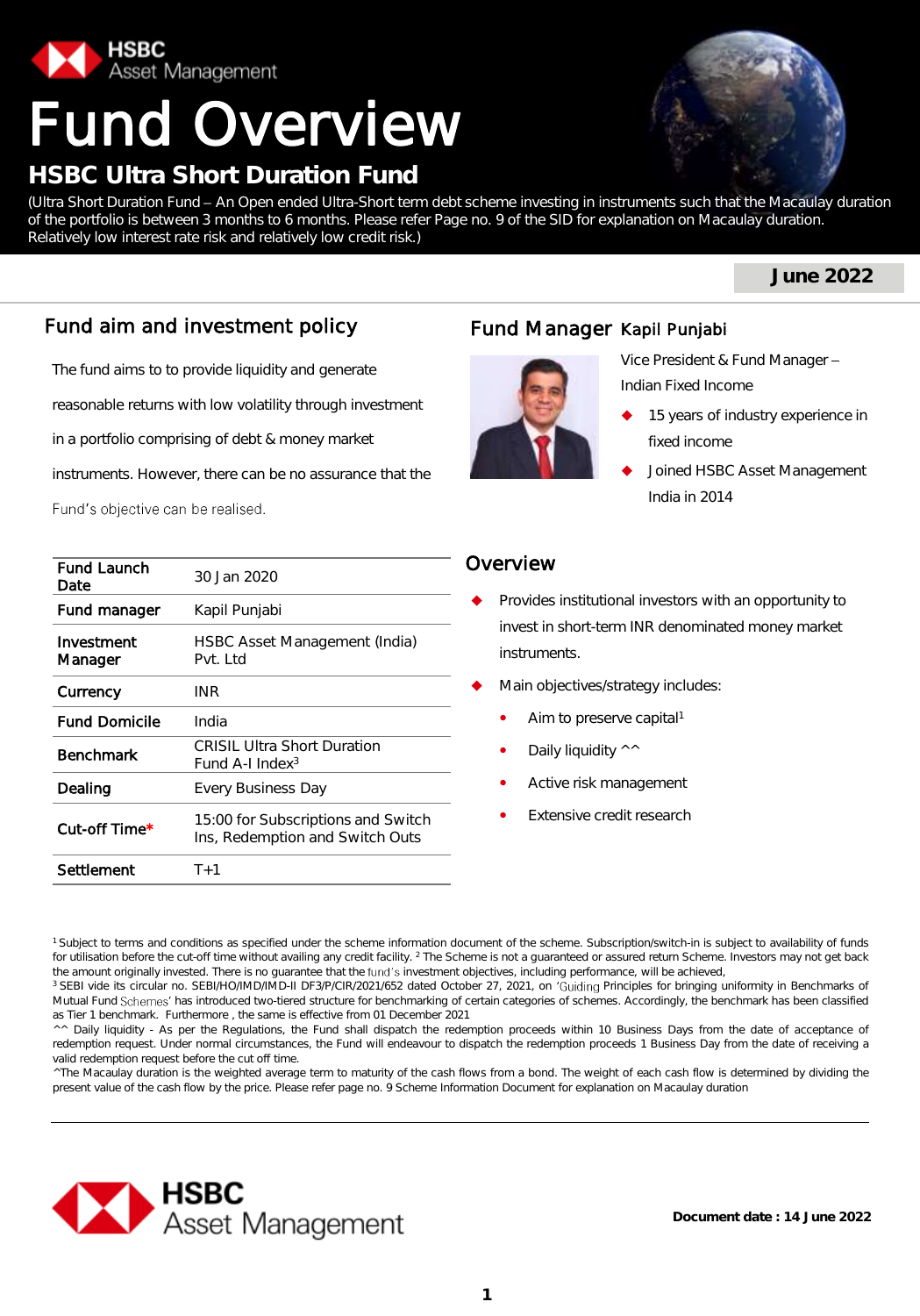

# Fund Overview

## **HSBC Ultra Short Duration Fund**

(Ultra Short Duration Fund - An Open ended Ultra-Short term debt scheme investing in instruments such that the Macaulay duration of the portfolio is between 3 months to 6 months. Please refer Page no. 9 of the SID for explanation on Macaulay duration. Relatively low interest rate risk and relatively low credit risk.)

**June 2022**

## Fund aim and investment policy

The fund aims to to provide liquidity and generate

reasonable returns with low volatility through investment

in a portfolio comprising of debt & money market

instruments. However, there can be no assurance that the

Fund's objective can be realised.

| <b>Fund Launch</b><br>Date | 30 Jan 2020                                                           |
|----------------------------|-----------------------------------------------------------------------|
| Fund manager               | Kapil Punjabi                                                         |
| Investment<br>Manager      | HSBC Asset Management (India)<br>Pvt. Ltd                             |
| Currency                   | INR                                                                   |
| <b>Fund Domicile</b>       | India                                                                 |
| <b>Benchmark</b>           | <b>CRISIL Ultra Short Duration</b><br>Fund A-I Index <sup>3</sup>     |
| Dealing                    | Every Business Day                                                    |
| Cut-off Time*              | 15:00 for Subscriptions and Switch<br>Ins, Redemption and Switch Outs |
| Settlement                 | $T+1$                                                                 |

## Fund Manager Kapil Punjabi



Vice President & Fund Manager Indian Fixed Income

- 15 years of industry experience in fixed income
- Joined HSBC Asset Management India in 2014

## Overview

- Provides institutional investors with an opportunity to invest in short-term INR denominated money market instruments.
- Main objectives/strategy includes:
	- Aim to preserve capital<sup>1</sup>
	- Daily liquidity ^^
	- Active risk management
	- Extensive credit research

<sup>1</sup> Subject to terms and conditions as specified under the scheme information document of the scheme. Subscription/switch-in is subject to availability of funds for utilisation before the cut-off time without availing any credit facility. <sup>2</sup> The Scheme is not a guaranteed or assured return Scheme. Investors may not get back the amount originally invested. There is no quarantee that the fund's investment objectives, including performance, will be achieved,

<sup>3</sup> SEBI vide its circular no. SEBI/HO/IMD/IMD-II DF3/P/CIR/2021/652 dated October 27, 2021, on 'Guiding Principles for bringing uniformity in Benchmarks of Mutual Fund Schemes' has introduced two-tiered structure for benchmarking of certain categories of schemes. Accordingly, the benchmark has been classified as Tier 1 benchmark. Furthermore , the same is effective from 01 December 2021

^^ Daily liquidity - As per the Regulations, the Fund shall dispatch the redemption proceeds within 10 Business Days from the date of acceptance of redemption request. Under normal circumstances, the Fund will endeavour to dispatch the redemption proceeds 1 Business Day from the date of receiving a valid redemption request before the cut off time.

^The Macaulay duration is the weighted average term to maturity of the cash flows from a bond. The weight of each cash flow is determined by dividing the present value of the cash flow by the price. Please refer page no. 9 Scheme Information Document for explanation on Macaulay duration

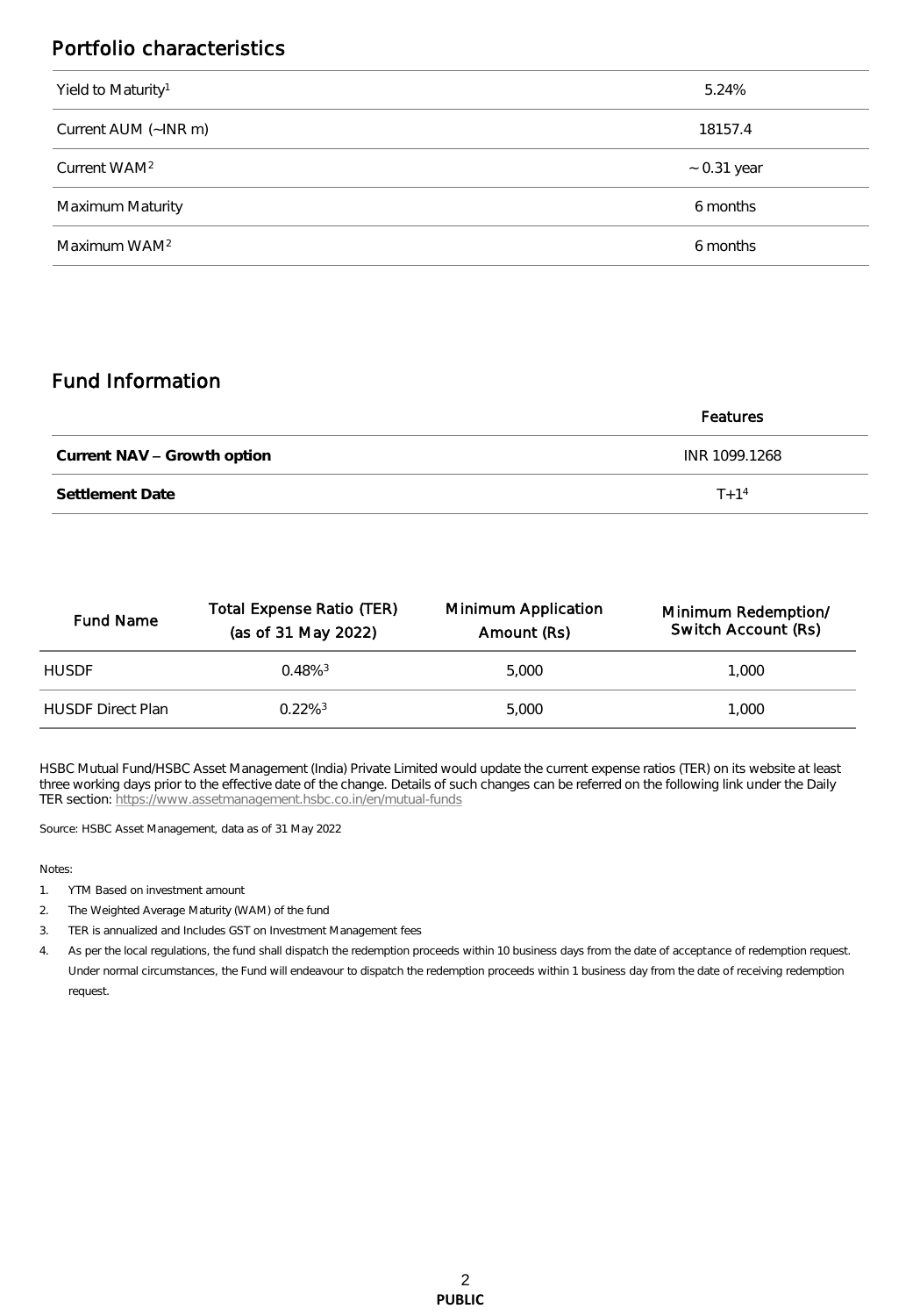## Portfolio characteristics

| Yield to Maturity <sup>1</sup> | 5.24%            |
|--------------------------------|------------------|
| Current AUM (~INR m)           | 18157.4          |
| Current WAM <sup>2</sup>       | $\sim$ 0.31 year |
| Maximum Maturity               | 6 months         |
| Maximum WAM <sup>2</sup>       | 6 months         |

## Fund Information

|                             | Features      |
|-----------------------------|---------------|
| Current NAV - Growth option | INR 1099.1268 |
| Settlement Date             | $T + 1^4$     |

| <b>Fund Name</b>         | Total Expense Ratio (TER)<br>(as of 31 May 2022) | Minimum Application<br>Amount (Rs) | Minimum Redemption/<br>Switch Account (Rs) |
|--------------------------|--------------------------------------------------|------------------------------------|--------------------------------------------|
| <b>HUSDE</b>             | $0.48\%$ <sup>3</sup>                            | 5,000                              | 1.000                                      |
| <b>HUSDE Direct Plan</b> | $0.22\%$ <sup>3</sup>                            | 5,000                              | 1.000                                      |

HSBC Mutual Fund/HSBC Asset Management (India) Private Limited would update the current expense ratios (TER) on its website at least three working days prior to the effective date of the change. Details of such changes can be referred on the following link under the Daily TER section: <https://www.assetmanagement.hsbc.co.in/en/mutual-funds>

Source: HSBC Asset Management, data as of 31 May 2022

#### Notes:

- 1. YTM Based on investment amount
- 2. The Weighted Average Maturity (WAM) of the fund
- 3. TER is annualized and Includes GST on Investment Management fees

4. As per the local regulations, the fund shall dispatch the redemption proceeds within 10 business days from the date of acceptance of redemption request. Under normal circumstances, the Fund will endeavour to dispatch the redemption proceeds within 1 business day from the date of receiving redemption request.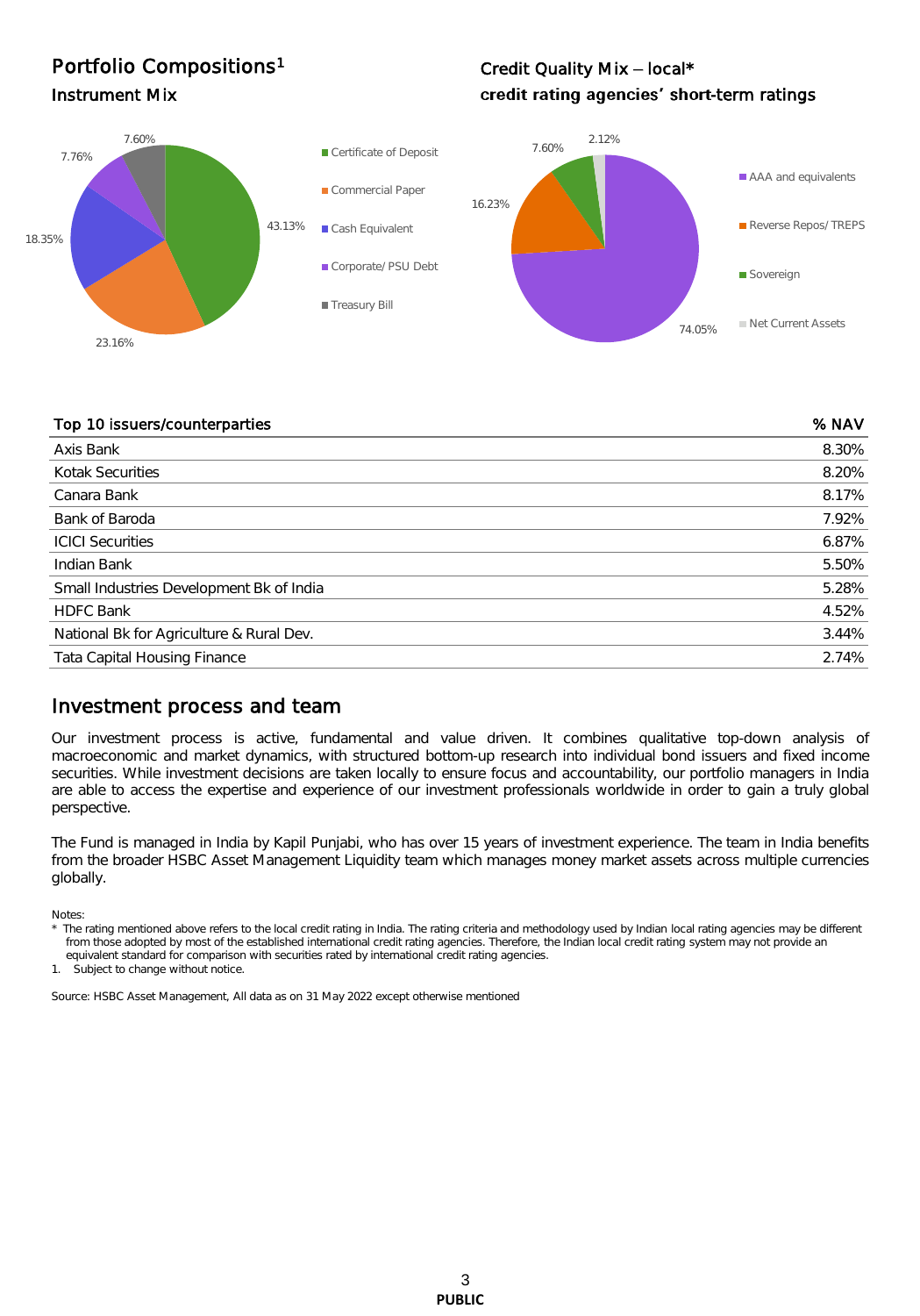## Portfolio Compositions<sup>1</sup>

## Credit Quality Mix - local\* Instrument Mix **Instrument Mix CONSERVING CONSERVING Credit rating agencies' short-term ratings**



#### Top 10 issuers/counterparties % NAV

| <b>TOP TO ISSUELS/COUTILCI PULLICS</b>   | 201177 |
|------------------------------------------|--------|
| Axis Bank                                | 8.30%  |
| Kotak Securities                         | 8.20%  |
| Canara Bank                              | 8.17%  |
| Bank of Baroda                           | 7.92%  |
| <b>ICICI Securities</b>                  | 6.87%  |
| Indian Bank                              | 5.50%  |
| Small Industries Development Bk of India | 5.28%  |
| <b>HDFC Bank</b>                         | 4.52%  |
| National Bk for Agriculture & Rural Dev. | 3.44%  |
| <b>Tata Capital Housing Finance</b>      | 2.74%  |

### Investment process and team

Our investment process is active, fundamental and value driven. It combines qualitative top-down analysis of macroeconomic and market dynamics, with structured bottom-up research into individual bond issuers and fixed income securities. While investment decisions are taken locally to ensure focus and accountability, our portfolio managers in India are able to access the expertise and experience of our investment professionals worldwide in order to gain a truly global perspective.

The Fund is managed in India by Kapil Punjabi, who has over 15 years of investment experience. The team in India benefits from the broader HSBC Asset Management Liquidity team which manages money market assets across multiple currencies globally.

Notes:

The rating mentioned above refers to the local credit rating in India. The rating criteria and methodology used by Indian local rating agencies may be different from those adopted by most of the established international credit rating agencies. Therefore, the Indian local credit rating system may not provide an equivalent standard for comparison with securities rated by international credit rating agencies.

1. Subject to change without notice.

Source: HSBC Asset Management, All data as on 31 May 2022 except otherwise mentioned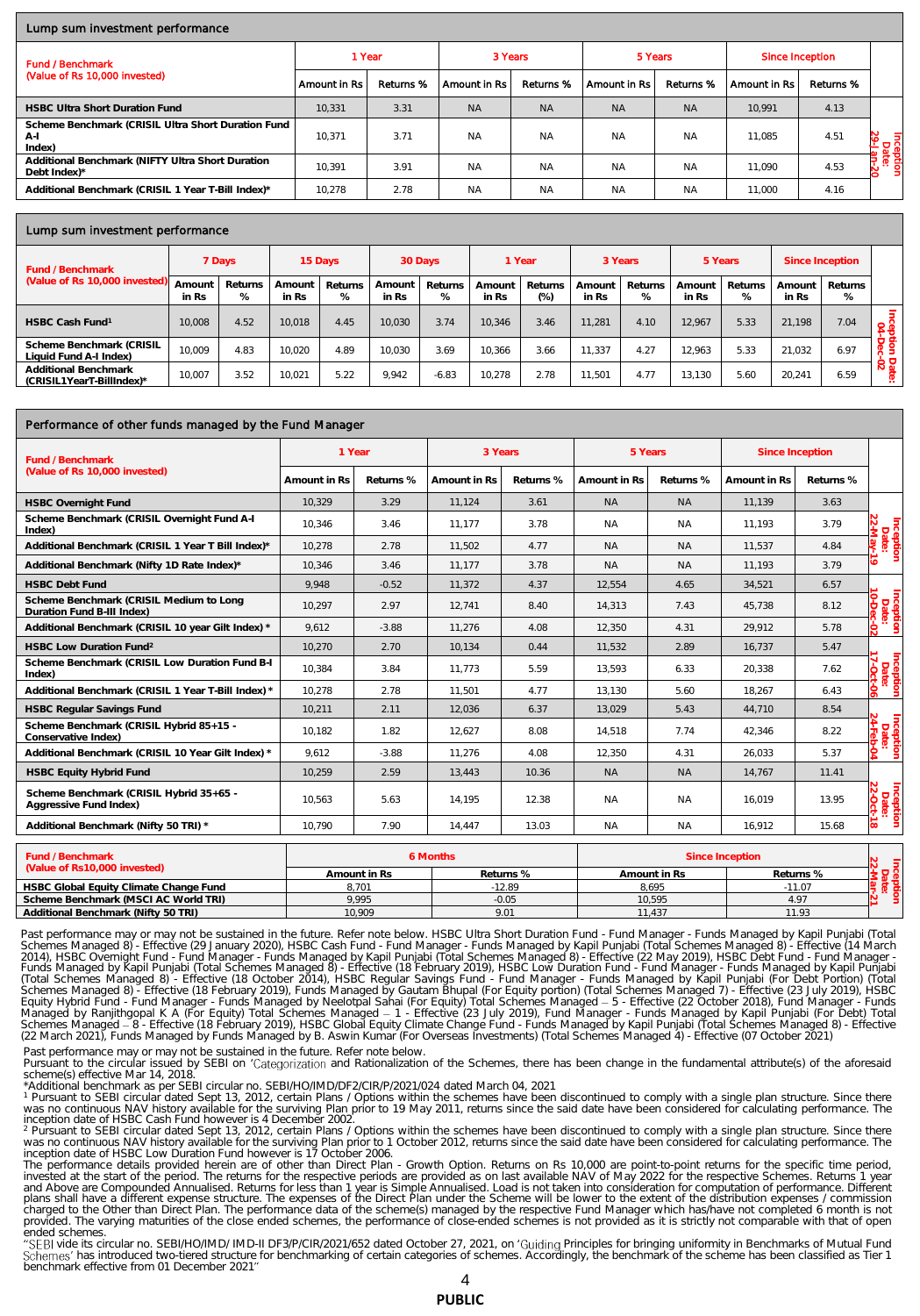#### Lump sum investment performance

| <b>Fund / Benchmark</b>                                               | 1 Year                      |           | 3 Years      |           | 5 Years      |           | Since Inception |           |                    |
|-----------------------------------------------------------------------|-----------------------------|-----------|--------------|-----------|--------------|-----------|-----------------|-----------|--------------------|
| (Value of Rs 10,000 invested)                                         | <sup>i</sup> Amount in Rs ⊧ | Returns % | Amount in Rs | Returns % | Amount in Rs | Returns % | Amount in Rs    | Returns % |                    |
| <b>HSBC Ultra Short Duration Fund</b>                                 | 10.331                      | 3.31      | <b>NA</b>    | <b>NA</b> | <b>NA</b>    | <b>NA</b> | 10.991          | 4.13      |                    |
| Scheme Benchmark (CRISIL Ultra Short Duration Fund<br>$A-I$<br>Index) | 10.371                      | 3.71      | <b>NA</b>    | <b>NA</b> | <b>NA</b>    | <b>NA</b> | 11.085          | 4.51      | Inception<br>Date: |
| Additional Benchmark (NIFTY Ultra Short Duration<br>Debt Index)*      | 10.391                      | 3.91      | <b>NA</b>    | <b>NA</b> | <b>NA</b>    | <b>NA</b> | 11.090          | 4.53      |                    |
| Additional Benchmark (CRISIL 1 Year T-Bill Index)*                    | 10,278                      | 2.78      | <b>NA</b>    | <b>NA</b> | <b>NA</b>    | <b>NA</b> | 11,000          | 4.16      |                    |

#### Lump sum investment performance

| Fund / Benchmark                                   |                 | 7 Days       | 15 Days         |              | 30 Days         |              | 1 Year          |                 | 3 Years         |              | 5 Years         |              | Since Inception |              |                 |
|----------------------------------------------------|-----------------|--------------|-----------------|--------------|-----------------|--------------|-----------------|-----------------|-----------------|--------------|-----------------|--------------|-----------------|--------------|-----------------|
| (Value of Rs 10,000 invested)                      | Amount<br>in Rs | Returns<br>% | Amount<br>in Rs | Returns<br>% | Amount<br>in Rs | Returns<br>% | Amount<br>in Rs | Returns<br>(% ) | Amount<br>in Rs | Returns<br>% | Amount<br>in Rs | Returns<br>% | Amount<br>in Rs | Returns<br>% |                 |
| HSBC Cash Fund <sup>1</sup>                        | 10.008          | 4.52         | 10.018          | 4.45         | 10,030          | 3.74         | 10.346          | 3.46            | 11.281          | 4.10         | 12.967          | 5.33         | 21.198          | 7.04         | Cep             |
| Scheme Benchmark (CRISIL<br>Liquid Fund A-I Index) | 10.009          | 4.83         | 10.020          | 4.89         | 10.030          | 3.69         | 10.366          | 3.66            | 11.337          | 4.27         | 12.963          | 5.33         | 21.032          | 6.97         | Զ               |
| Additional Benchmark<br>(CRISIL1YearT-BillIndex)*  | 10.007          | 3.52         | 10.021          | 5.22         | 9.942           | $-6.83$      | 10.278          | 2.78            | 11.501          | 4.77         | 3.130           | 5.60         | 20.241          | 6.59         | 68<br>$\vec{a}$ |

#### Performance of other funds managed by the Fund Manager

| Fund / Benchmark                                                      | 1 Year       |           | 3 Years      |           | 5 Years      |           | Since Inception |           |                                 |
|-----------------------------------------------------------------------|--------------|-----------|--------------|-----------|--------------|-----------|-----------------|-----------|---------------------------------|
| (Value of Rs 10,000 invested)                                         | Amount in Rs | Returns % | Amount in Rs | Returns % | Amount in Rs | Returns % | Amount in Rs.   | Returns % |                                 |
| <b>HSBC Overnight Fund</b>                                            | 10.329       | 3.29      | 11.124       | 3.61      | <b>NA</b>    | <b>NA</b> | 11.139          | 3.63      |                                 |
| Scheme Benchmark (CRISIL Overnight Fund A-I<br>Index)                 | 10.346       | 3.46      | 11.177       | 3.78      | <b>NA</b>    | <b>NA</b> | 11.193          | 3.79      | Inception<br>Date:<br>22-May-19 |
| Additional Benchmark (CRISIL 1 Year T Bill Index)*                    | 10,278       | 2.78      | 11.502       | 4.77      | <b>NA</b>    | <b>NA</b> | 11.537          | 4.84      |                                 |
| Additional Benchmark (Nifty 1D Rate Index)*                           | 10.346       | 3.46      | 11.177       | 3.78      | <b>NA</b>    | <b>NA</b> | 11.193          | 3.79      | $\vec{5}$                       |
| <b>HSBC Debt Fund</b>                                                 | 9.948        | $-0.52$   | 11,372       | 4.37      | 12,554       | 4.65      | 34,521          | 6.57      |                                 |
| Scheme Benchmark (CRISIL Medium to Long<br>Duration Fund B-III Index) | 10.297       | 2.97      | 12.741       | 8.40      | 14.313       | 7.43      | 45.738          | 8.12      |                                 |
| Additional Benchmark (CRISIL 10 year Gilt Index) *                    | 9,612        | $-3.88$   | 11,276       | 4.08      | 12,350       | 4.31      | 29,912          | 5.78      |                                 |
| HSBC Low Duration Fund <sup>2</sup>                                   | 10,270       | 2.70      | 10.134       | 0.44      | 11.532       | 2.89      | 16.737          | 5.47      |                                 |
| Scheme Benchmark (CRISIL Low Duration Fund B-I<br>Index)              | 10.384       | 3.84      | 11.773       | 5.59      | 13.593       | 6.33      | 20.338          | 7.62      | Inception<br>Date:<br>17-Oct-06 |
| Additional Benchmark (CRISIL 1 Year T-Bill Index) *                   | 10,278       | 2.78      | 11.501       | 4.77      | 13,130       | 5.60      | 18.267          | 6.43      |                                 |
| <b>HSBC Regular Savings Fund</b>                                      | 10,211       | 2.11      | 12,036       | 6.37      | 13,029       | 5.43      | 44,710          | 8.54      |                                 |
| Scheme Benchmark (CRISIL Hybrid 85+15 -<br>Conservative Index)        | 10.182       | 1.82      | 12.627       | 8.08      | 14.518       | 7.74      | 42.346          | 8.22      | Inception<br>Date:<br>24-Feb-04 |
| Additional Benchmark (CRISIL 10 Year Gilt Index) *                    | 9,612        | $-3.88$   | 11,276       | 4.08      | 12,350       | 4.31      | 26,033          | 5.37      |                                 |
| <b>HSBC Equity Hybrid Fund</b>                                        | 10,259       | 2.59      | 13.443       | 10.36     | <b>NA</b>    | <b>NA</b> | 14,767          | 11.41     |                                 |
| Scheme Benchmark (CRISIL Hybrid 35+65 -<br>Aggressive Fund Index)     | 10,563       | 5.63      | 14.195       | 12.38     | <b>NA</b>    | <b>NA</b> | 16.019          | 13.95     | Inception<br>Date:<br>22-Oct-18 |
| Additional Benchmark (Nifty 50 TRI) *                                 | 10.790       | 7.90      | 14.447       | 13.03     | <b>NA</b>    | <b>NA</b> | 16.912          | 15.68     |                                 |
|                                                                       |              |           |              |           |              |           |                 |           |                                 |

| Fund / Benchmark                       | 6 Months     |           | Since Inception |           |  |  |
|----------------------------------------|--------------|-----------|-----------------|-----------|--|--|
| (Value of Rs10,000 invested)           | Amount in Rs | Returns % | Amount in Rs    | Returns % |  |  |
| HSBC Global Equity Climate Change Fund | 8.701        | $-12.89$  | 8.695           | $-11.07$  |  |  |
| Scheme Benchmark (MSCI AC World TRI)   | 9.995        | $-0.05$   | 10.595          | 4.97      |  |  |
| Additional Benchmark (Nifty 50 TRI)    | 10.909       | 9.01      | 11.437          | 11.93     |  |  |
|                                        |              |           |                 |           |  |  |

Past performance may or may not be sustained in the future. Refer note below. HSBC Ultra Short Duration Fund - Fund Manager - Funds Managed by Kapil Punjabi (Total<br>Schemes Managed 8) - Effective (29 January 2020), HSBC Cas

Past performance may or may not be sustained in the future. Refer note below.<br>Pursuant to the circular issued by SEBI on 'Categorization and Rationalization of the Schemes, there has been change in the fundamental attribut

\*Additional benchmark as per SEBI circular no. SEBI/HO/IMD/DF2/CIR/P/2021/024 dated March 04, 2021<br><sup>1</sup> Pursuant to SEBI circular dated Sept 13, 2012, certain Plans / Options within the schemes have been discontinued to com

was no continuous NAV history available for the surviving Plan prior to 1 October 2012, returns since the said date have been considered for calculating performance. The<br>inception date of HSBC Low Duration Fund however is

The performance details provided herein are of other than Direct Plan - Growth Option. Returns on Rs 10,000 are point-to-point returns for the specific time period,<br>invested at the start of the period. The returns for the

charged to the Other than Direct Plan. The performance data of the scheme(s) managed by the respective Fund Manager which has/have not completed 6 month is not<br>provided. The varying maturities of the close ended schemes, t

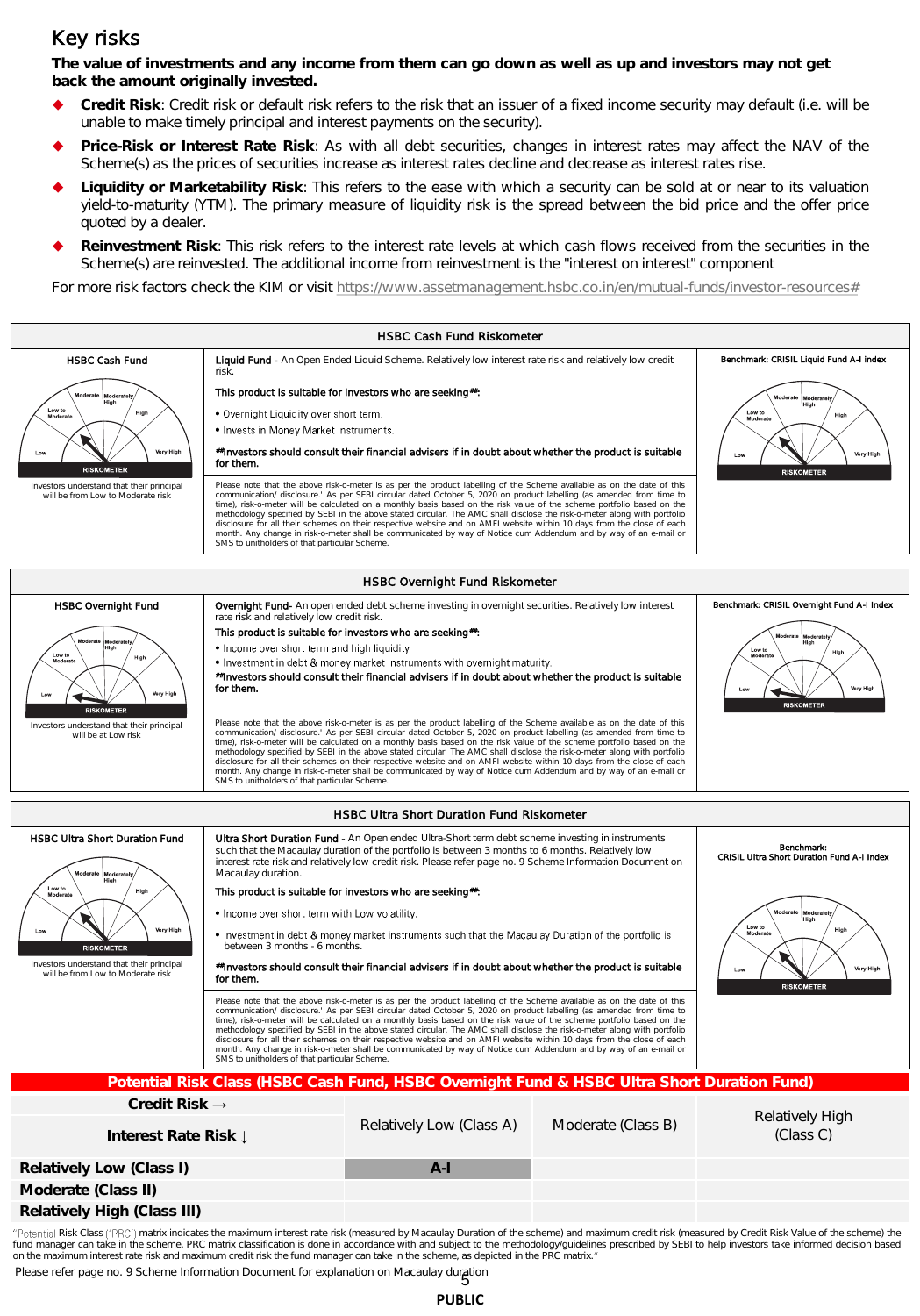## Key risks

**The value of investments and any income from them can go down as well as up and investors may not get back the amount originally invested.** 

- **Credit Risk**: Credit risk or default risk refers to the risk that an issuer of a fixed income security may default (i.e. will be unable to make timely principal and interest payments on the security).
- **Price-Risk or Interest Rate Risk**: As with all debt securities, changes in interest rates may affect the NAV of the Scheme(s) as the prices of securities increase as interest rates decline and decrease as interest rates rise.
- **Liquidity or Marketability Risk**: This refers to the ease with which a security can be sold at or near to its valuation yield-to-maturity (YTM). The primary measure of liquidity risk is the spread between the bid price and the offer price quoted by a dealer.
- **Reinvestment Risk**: This risk refers to the interest rate levels at which cash flows received from the securities in the Scheme(s) are reinvested. The additional income from reinvestment is the "interest on interest" component

For more risk factors check the KIM or visit [https://www.assetmanagement.hsbc.co.in/en/mutual-funds/investor-resources#](https://www.assetmanagement.hsbc.co.in/en/mutual-funds/investor-resources)



fund manager can take in the scheme. PRC matrix classification is done in accordance with and subject to the methodology/guidelines prescribed by SEBI to help investors take informed decision based<br>on the maximum interest

Please refer page no. 9 Scheme Information Document for explanation on Macaulay duration<br>5

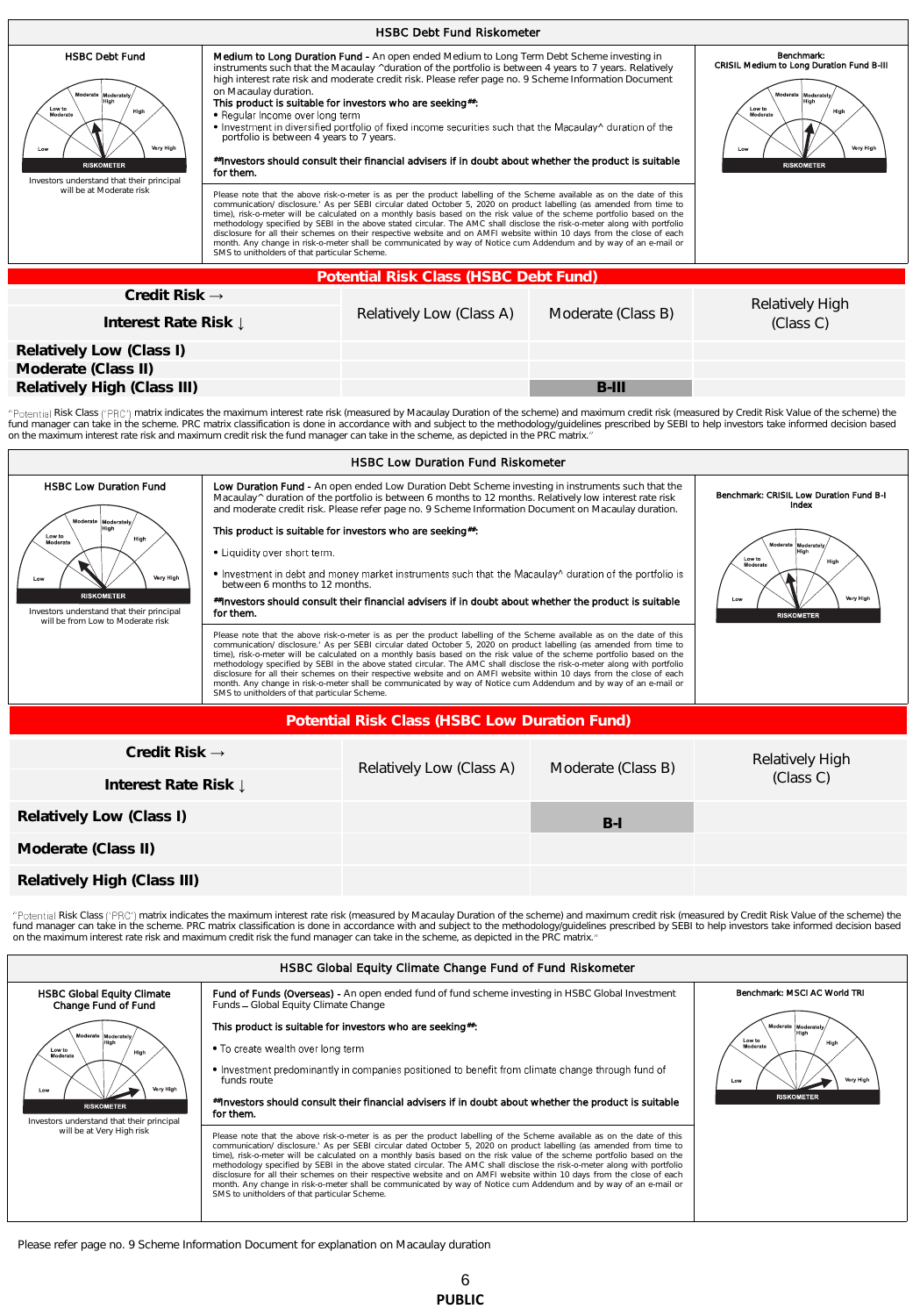| <b>HSBC Debt Fund Riskometer</b>                                                                                                                                                                     |                                                                                                                                                                    |                                                                                                                                                                                                                                                                                                                                                                                                                                                                                                                                                                                                                                                                                                                                                                                                                                                                                                                                                                                                                                                                                                                                                                                                                                                                                                                                                     |                    |                                                                                                                                                               |  |  |  |  |
|------------------------------------------------------------------------------------------------------------------------------------------------------------------------------------------------------|--------------------------------------------------------------------------------------------------------------------------------------------------------------------|-----------------------------------------------------------------------------------------------------------------------------------------------------------------------------------------------------------------------------------------------------------------------------------------------------------------------------------------------------------------------------------------------------------------------------------------------------------------------------------------------------------------------------------------------------------------------------------------------------------------------------------------------------------------------------------------------------------------------------------------------------------------------------------------------------------------------------------------------------------------------------------------------------------------------------------------------------------------------------------------------------------------------------------------------------------------------------------------------------------------------------------------------------------------------------------------------------------------------------------------------------------------------------------------------------------------------------------------------------|--------------------|---------------------------------------------------------------------------------------------------------------------------------------------------------------|--|--|--|--|
| <b>HSBC Debt Fund</b><br>Moderate Moderately<br>High<br>Low to<br>High<br>Moderate<br>Very High<br>Low<br><b>RISKOMETER</b><br>Investors understand that their principal<br>will be at Moderate risk | on Macaulay duration.<br>• Regular Income over long term<br>portfolio is between 4 years to 7 years.<br>for them.<br>SMS to unitholders of that particular Scheme. | Medium to Long Duration Fund - An open ended Medium to Long Term Debt Scheme investing in<br>instruments such that the Macaulay ^duration of the portfolio is between 4 years to 7 years. Relatively<br>high interest rate risk and moderate credit risk. Please refer page no. 9 Scheme Information Document<br>This product is suitable for investors who are seeking#:<br>• Investment in diversified portfolio of fixed income securities such that the Macaulay^ duration of the<br>#Investors should consult their financial advisers if in doubt about whether the product is suitable<br>Please note that the above risk-o-meter is as per the product labelling of the Scheme available as on the date of this<br>communication/ disclosure.' As per SEBI circular dated October 5, 2020 on product labelling (as amended from time to<br>time), risk-o-meter will be calculated on a monthly basis based on the risk value of the scheme portfolio based on the<br>methodology specified by SEBI in the above stated circular. The AMC shall disclose the risk-o-meter along with portfolio<br>disclosure for all their schemes on their respective website and on AMFI website within 10 days from the close of each<br>month. Any change in risk-o-meter shall be communicated by way of Notice cum Addendum and by way of an e-mail or |                    | Benchmark:<br>CRISIL Medium to Long Duration Fund B-III<br>Moderate Moderately<br>High<br>Low to<br>High<br>Moderate<br>Very High<br>Low<br><b>RISKOMETER</b> |  |  |  |  |
|                                                                                                                                                                                                      |                                                                                                                                                                    | Potential Risk Class (HSBC Debt Fund)                                                                                                                                                                                                                                                                                                                                                                                                                                                                                                                                                                                                                                                                                                                                                                                                                                                                                                                                                                                                                                                                                                                                                                                                                                                                                                               |                    |                                                                                                                                                               |  |  |  |  |
| Credit Risk $\rightarrow$<br>Interest Rate Risk L                                                                                                                                                    |                                                                                                                                                                    | Relatively Low (Class A)                                                                                                                                                                                                                                                                                                                                                                                                                                                                                                                                                                                                                                                                                                                                                                                                                                                                                                                                                                                                                                                                                                                                                                                                                                                                                                                            | Moderate (Class B) | Relatively High<br>(Class C)                                                                                                                                  |  |  |  |  |
| Relatively Low (Class I)<br>Moderate (Class II)                                                                                                                                                      |                                                                                                                                                                    |                                                                                                                                                                                                                                                                                                                                                                                                                                                                                                                                                                                                                                                                                                                                                                                                                                                                                                                                                                                                                                                                                                                                                                                                                                                                                                                                                     |                    |                                                                                                                                                               |  |  |  |  |

"Potential Risk Class ('PRC') matrix indicates the maximum interest rate risk (measured by Macaulay Duration of the scheme) and maximum credit risk (measured by Credit Risk Value of the scheme) the fund manager can take in the scheme. PRC matrix classification is done in accordance with and subject to the methodology/guidelines prescribed by SEBI to help investors take informed decision based<br>on the maximum interest

**Relatively High (Class III) B-III B-III** 



"Potential Risk Class ('PRC') matrix indicates the maximum interest rate risk (measured by Macaulay Duration of the scheme) and maximum credit risk (measured by Credit Risk Value of the scheme) the fund manager can take in the scheme. PRC matrix classification is done in accordance with and subject to the methodology/guidelines prescribed by SEBI to help investors take informed decision based<br>on the maximum interest



Please refer page no. 9 Scheme Information Document for explanation on Macaulay duration